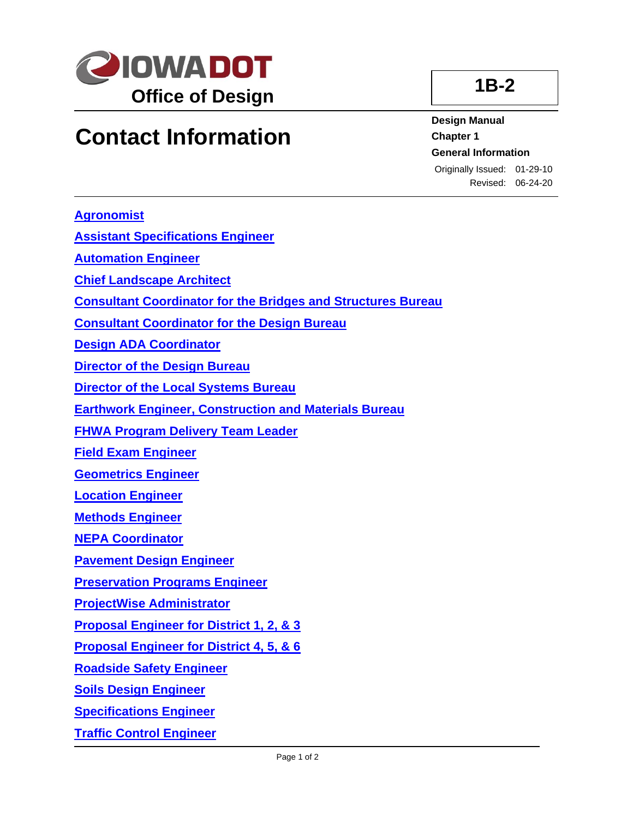

## **Contact Information**

**1B-2**

**Design Manual Chapter 1 General Information**

Originally Issued: 01-29-10 Revised: 06-24-20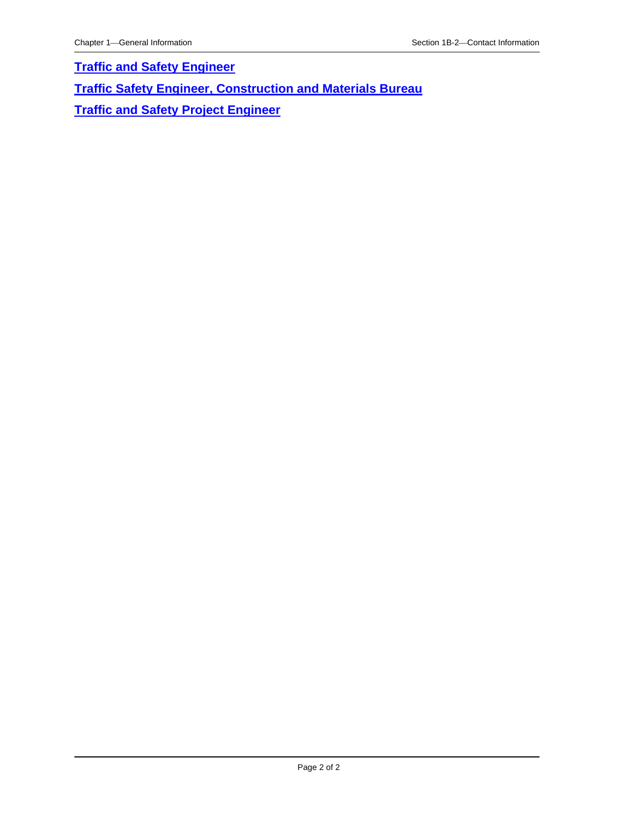**[Traffic and Safety Engineer](01B-02/TrafficSafetyEngineer.pdf)**

**[Traffic Safety Engineer, Construction and Materials Bureau](01B-02/TrafficSafetyEngineerConstructionandMaterialsBureau.pdf)**

**Traffic and [Safety Project Engineer](01B-02/TrafficSafetyProjectEngineer.pdf)**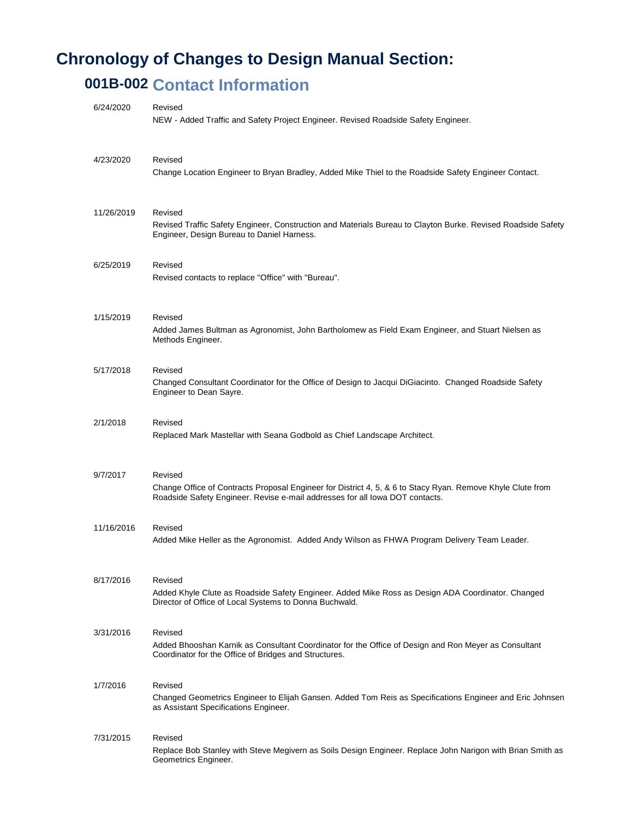## **Chronology of Changes to Design Manual Section:**

## **001B-002 Contact Information**

| 6/24/2020  | Revised<br>NEW - Added Traffic and Safety Project Engineer. Revised Roadside Safety Engineer.                                                                                                         |
|------------|-------------------------------------------------------------------------------------------------------------------------------------------------------------------------------------------------------|
| 4/23/2020  | Revised<br>Change Location Engineer to Bryan Bradley, Added Mike Thiel to the Roadside Safety Engineer Contact.                                                                                       |
| 11/26/2019 | Revised<br>Revised Traffic Safety Engineer, Construction and Materials Bureau to Clayton Burke. Revised Roadside Safety<br>Engineer, Design Bureau to Daniel Harness.                                 |
| 6/25/2019  | Revised<br>Revised contacts to replace "Office" with "Bureau".                                                                                                                                        |
| 1/15/2019  | Revised<br>Added James Bultman as Agronomist, John Bartholomew as Field Exam Engineer, and Stuart Nielsen as<br>Methods Engineer.                                                                     |
| 5/17/2018  | Revised<br>Changed Consultant Coordinator for the Office of Design to Jacqui DiGiacinto. Changed Roadside Safety<br>Engineer to Dean Sayre.                                                           |
| 2/1/2018   | Revised<br>Replaced Mark Mastellar with Seana Godbold as Chief Landscape Architect.                                                                                                                   |
| 9/7/2017   | Revised<br>Change Office of Contracts Proposal Engineer for District 4, 5, & 6 to Stacy Ryan. Remove Khyle Clute from<br>Roadside Safety Engineer. Revise e-mail addresses for all lowa DOT contacts. |
| 11/16/2016 | Revised<br>Added Mike Heller as the Agronomist. Added Andy Wilson as FHWA Program Delivery Team Leader.                                                                                               |
| 8/17/2016  | Revised<br>Added Khyle Clute as Roadside Safety Engineer. Added Mike Ross as Design ADA Coordinator. Changed<br>Director of Office of Local Systems to Donna Buchwald.                                |
| 3/31/2016  | Revised<br>Added Bhooshan Karnik as Consultant Coordinator for the Office of Design and Ron Meyer as Consultant<br>Coordinator for the Office of Bridges and Structures.                              |
| 1/7/2016   | Revised<br>Changed Geometrics Engineer to Elijah Gansen. Added Tom Reis as Specifications Engineer and Eric Johnsen<br>as Assistant Specifications Engineer.                                          |
| 7/31/2015  | Revised<br>Replace Bob Stanley with Steve Megivern as Soils Design Engineer. Replace John Narigon with Brian Smith as<br>Geometrics Engineer.                                                         |